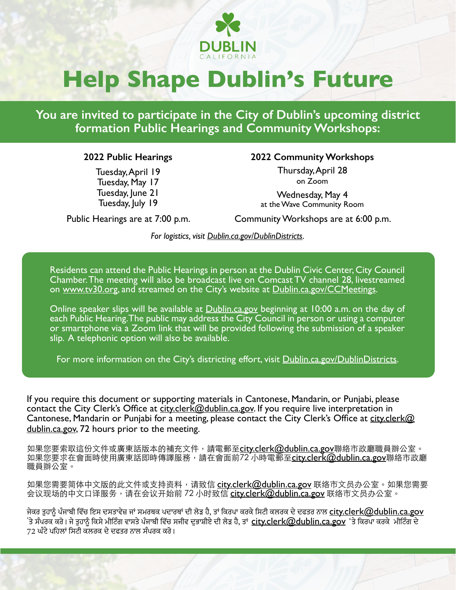

# **Help Shape Dublin's Future**

**You are invited to participate in the City of Dublin's upcoming district formation Public Hearings and Community Workshops:**

#### **2022 Public Hearings**

Tuesday, April 19 Tuesday, May 17 Tuesday, June 21 Tuesday, July 19

**2022 Community Workshops**

Thursday, April 28 on Zoom

Wednesday, May 4 at the Wave Community Room

Public Hearings are at 7:00 p.m.

Community Workshops are at 6:00 p.m.

*For logistics, visit [Dublin.ca.gov/DublinDistricts.](http://Dublin.ca.gov/DublinDistricts)*

Residents can attend the Public Hearings in person at the Dublin Civic Center, City Council Chamber. The meeting will also be broadcast live on Comcast TV channel 28, livestreamed on <u>www.tv30.or</u>g, and streamed on the City's website at <u>Dublin.ca.gov/CCMeetings</u>.

Online speaker slips will be available at [Dublin.ca.gov](http://Dublin.ca.gov) beginning at 10:00 a.m. on the day of each Public Hearing. The public may address the City Council in person or using a computer or smartphone via a Zoom link that will be provided following the submission of a speaker slip. A telephonic option will also be available.

For more information on the City's districting effort, visit **Dublin.ca.gov/DublinDistricts.** 

If you require this document or supporting materials in Cantonese, Mandarin, or Punjabi, please contact the City Clerk's Office at [city.clerk@dublin.ca.gov.](mailto:city.clerk%40dublin.ca.gov?subject=) If you require live interpretation in Cantonese, Mandarin or Punjabi for a meeting, please contact the City Clerk's Office at [city.clerk@](mailto:city.clerk%40dublin.ca.gov?subject=) [dublin.ca.gov](mailto:city.clerk%40dublin.ca.gov?subject=), 72 hours prior to the meeting.

如果您要索取這份文件或廣東話版本的補充文件,請電郵至<u>[city.clerk@dublin.ca.gov](mailto:city.clerk%40dublin.ca.gov?subject=)</u>聯絡市政廳職員辦公室。 如果您要求在會面時使用廣東話即時傳譯服務,請在會面前72 小時電郵至<u>city.clerk@dublin.ca.gov</u>聯絡市政廳 職員辦公室。

如果您需要简体中文版的此文件或支持资料,请致信 <u>city.clerk@dublin.ca.gov</u> 联络市文员办公室。如果您需要 会议现场的中文口译服务,请在会议开始前 72 小时致信 <u>city.clerk@dublin.ca.gov</u> 联络市文员办公室。

ਜੇਕਰ ਤੁਹਾਨੂੰ ਪੰਜਾਬੀ ਵਿੱਚ ਇਸ ਦਸਤਾਵੇਜ਼ ਜਾਂ ਸਮਰਥਕ ਪਦਾਰਥਾਂ ਦੀ ਲੋੜ ਹੈ, ਤਾਂ ਕਿਰਪਾ ਕਰਕੇ ਸਿਟੀ ਕਲਰਕ ਦੇ ਦਫਤਰ ਨਾਲ <u>city.clerk@dublin.ca.gov</u> 'ਤੇ ਸੰਪਰਕ ਕਰੋ। ਜੇ ਤੁਹਾਨੂੰ ਕਿਸੇ ਮੀਟਿੰਗ ਵਾਸਤੇ ਪੰਜਾਬੀ ਵਿੱਚ ਸਜੀਵ ਦੁਭਾਸ਼ੀਏ ਦੀ ਲੋੜ ਹੈ, ਤਾਂ [city.clerk@dublin.ca.gov](mailto:city.clerk%40dublin.ca.gov?subject=) 'ਤੇ ਕਿਰਪਾ ਕਰਕੇ ਮੀਟਿੰਗ ਦੇ 72 ਘੰਟੇ ਪਹਿਲਾਂ ਸਿਟੀ ਕਲਰਕ ਦੇ ਦਫਤਰ ਨਾਲ ਸੰਪਰਕ ਕਰੋ।